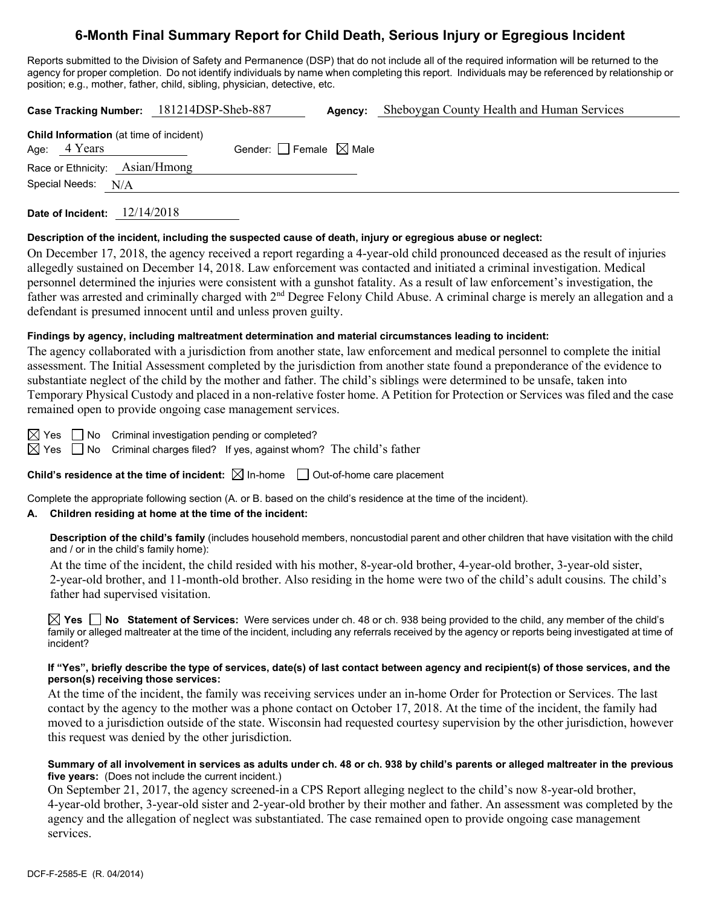# **6-Month Final Summary Report for Child Death, Serious Injury or Egregious Incident**

Reports submitted to the Division of Safety and Permanence (DSP) that do not include all of the required information will be returned to the agency for proper completion. Do not identify individuals by name when completing this report. Individuals may be referenced by relationship or position; e.g., mother, father, child, sibling, physician, detective, etc.

**Case Tracking Number:** 181214DSP-Sheb-887 **Agency:** Sheboygan County Health and Human Services

| <b>Child Information</b> (at time of incident)<br>Age: $4$ Years | Gender: $\Box$ Female $\boxtimes$ Male |  |
|------------------------------------------------------------------|----------------------------------------|--|
| Race or Ethnicity: Asian/Hmong                                   |                                        |  |
| Special Needs: N/A                                               |                                        |  |

**Date of Incident:** 12/14/2018

#### **Description of the incident, including the suspected cause of death, injury or egregious abuse or neglect:**

On December 17, 2018, the agency received a report regarding a 4-year-old child pronounced deceased as the result of injuries allegedly sustained on December 14, 2018. Law enforcement was contacted and initiated a criminal investigation. Medical personnel determined the injuries were consistent with a gunshot fatality. As a result of law enforcement's investigation, the father was arrested and criminally charged with 2<sup>nd</sup> Degree Felony Child Abuse. A criminal charge is merely an allegation and a defendant is presumed innocent until and unless proven guilty.

### **Findings by agency, including maltreatment determination and material circumstances leading to incident:**

The agency collaborated with a jurisdiction from another state, law enforcement and medical personnel to complete the initial assessment. The Initial Assessment completed by the jurisdiction from another state found a preponderance of the evidence to substantiate neglect of the child by the mother and father. The child's siblings were determined to be unsafe, taken into Temporary Physical Custody and placed in a non-relative foster home. A Petition for Protection or Services was filed and the case remained open to provide ongoing case management services.

 $\boxtimes$  Yes  $\Box$  No Criminal investigation pending or completed?

 $\boxtimes$  Yes  $\Box$  No Criminal charges filed? If yes, against whom? The child's father

**Child's residence at the time of incident:**  $\boxtimes$  In-home  $\Box$  Out-of-home care placement

Complete the appropriate following section (A. or B. based on the child's residence at the time of the incident).

# **A. Children residing at home at the time of the incident:**

**Description of the child's family** (includes household members, noncustodial parent and other children that have visitation with the child and / or in the child's family home):

At the time of the incident, the child resided with his mother, 8-year-old brother, 4-year-old brother, 3-year-old sister, 2-year-old brother, and 11-month-old brother. Also residing in the home were two of the child's adult cousins. The child's father had supervised visitation.

**Yes No Statement of Services:** Were services under ch. 48 or ch. 938 being provided to the child, any member of the child's family or alleged maltreater at the time of the incident, including any referrals received by the agency or reports being investigated at time of incident?

### **If "Yes", briefly describe the type of services, date(s) of last contact between agency and recipient(s) of those services, and the person(s) receiving those services:**

At the time of the incident, the family was receiving services under an in-home Order for Protection or Services. The last contact by the agency to the mother was a phone contact on October 17, 2018. At the time of the incident, the family had moved to a jurisdiction outside of the state. Wisconsin had requested courtesy supervision by the other jurisdiction, however this request was denied by the other jurisdiction.

### **Summary of all involvement in services as adults under ch. 48 or ch. 938 by child's parents or alleged maltreater in the previous five years:** (Does not include the current incident.)

On September 21, 2017, the agency screened-in a CPS Report alleging neglect to the child's now 8-year-old brother, 4-year-old brother, 3-year-old sister and 2-year-old brother by their mother and father. An assessment was completed by the agency and the allegation of neglect was substantiated. The case remained open to provide ongoing case management services.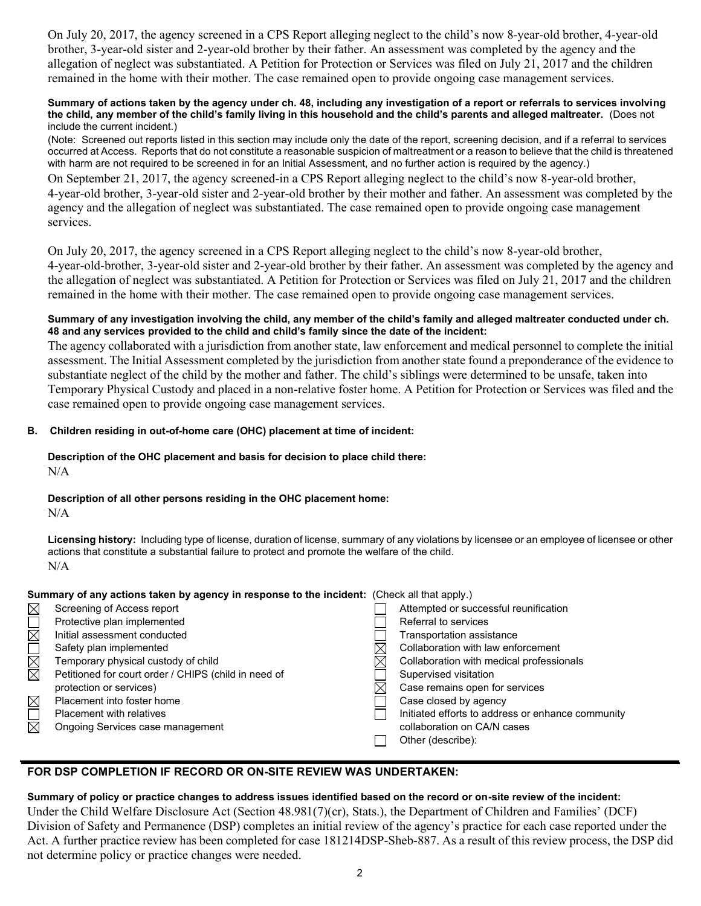On July 20, 2017, the agency screened in a CPS Report alleging neglect to the child's now 8-year-old brother, 4-year-old brother, 3-year-old sister and 2-year-old brother by their father. An assessment was completed by the agency and the allegation of neglect was substantiated. A Petition for Protection or Services was filed on July 21, 2017 and the children remained in the home with their mother. The case remained open to provide ongoing case management services.

#### **Summary of actions taken by the agency under ch. 48, including any investigation of a report or referrals to services involving the child, any member of the child's family living in this household and the child's parents and alleged maltreater.** (Does not include the current incident.)

(Note: Screened out reports listed in this section may include only the date of the report, screening decision, and if a referral to services occurred at Access. Reports that do not constitute a reasonable suspicion of maltreatment or a reason to believe that the child is threatened with harm are not required to be screened in for an Initial Assessment, and no further action is required by the agency.)

On September 21, 2017, the agency screened-in a CPS Report alleging neglect to the child's now 8-year-old brother, 4-year-old brother, 3-year-old sister and 2-year-old brother by their mother and father. An assessment was completed by the agency and the allegation of neglect was substantiated. The case remained open to provide ongoing case management services.

On July 20, 2017, the agency screened in a CPS Report alleging neglect to the child's now 8-year-old brother, 4-year-old-brother, 3-year-old sister and 2-year-old brother by their father. An assessment was completed by the agency and the allegation of neglect was substantiated. A Petition for Protection or Services was filed on July 21, 2017 and the children remained in the home with their mother. The case remained open to provide ongoing case management services.

#### **Summary of any investigation involving the child, any member of the child's family and alleged maltreater conducted under ch. 48 and any services provided to the child and child's family since the date of the incident:**

The agency collaborated with a jurisdiction from another state, law enforcement and medical personnel to complete the initial assessment. The Initial Assessment completed by the jurisdiction from another state found a preponderance of the evidence to substantiate neglect of the child by the mother and father. The child's siblings were determined to be unsafe, taken into Temporary Physical Custody and placed in a non-relative foster home. A Petition for Protection or Services was filed and the case remained open to provide ongoing case management services.

## **B. Children residing in out-of-home care (OHC) placement at time of incident:**

#### **Description of the OHC placement and basis for decision to place child there:** N/A

# **Description of all other persons residing in the OHC placement home:**

N/A

**Licensing history:** Including type of license, duration of license, summary of any violations by licensee or an employee of licensee or other actions that constitute a substantial failure to protect and promote the welfare of the child. N/A

### **Summary of any actions taken by agency in response to the incident:** (Check all that apply.)

| $\boxtimes$ | Screening of Access report                           | Attempted or successful reunification             |
|-------------|------------------------------------------------------|---------------------------------------------------|
|             | Protective plan implemented                          | Referral to services                              |
| $\boxtimes$ | Initial assessment conducted                         | Transportation assistance                         |
|             | Safety plan implemented                              | Collaboration with law enforcement                |
| $\boxtimes$ | Temporary physical custody of child                  | Collaboration with medical professionals          |
| $\boxtimes$ | Petitioned for court order / CHIPS (child in need of | Supervised visitation                             |
|             | protection or services)                              | Case remains open for services                    |
| $\boxtimes$ | Placement into foster home                           | Case closed by agency                             |
|             | <b>Placement with relatives</b>                      | Initiated efforts to address or enhance community |
| $\boxtimes$ | Ongoing Services case management                     | collaboration on CA/N cases                       |
|             |                                                      | Other (describe):                                 |
|             |                                                      |                                                   |

## **FOR DSP COMPLETION IF RECORD OR ON-SITE REVIEW WAS UNDERTAKEN:**

## **Summary of policy or practice changes to address issues identified based on the record or on-site review of the incident:**

Under the Child Welfare Disclosure Act (Section 48.981(7)(cr), Stats.), the Department of Children and Families' (DCF) Division of Safety and Permanence (DSP) completes an initial review of the agency's practice for each case reported under the Act. A further practice review has been completed for case 181214DSP-Sheb-887. As a result of this review process, the DSP did not determine policy or practice changes were needed.